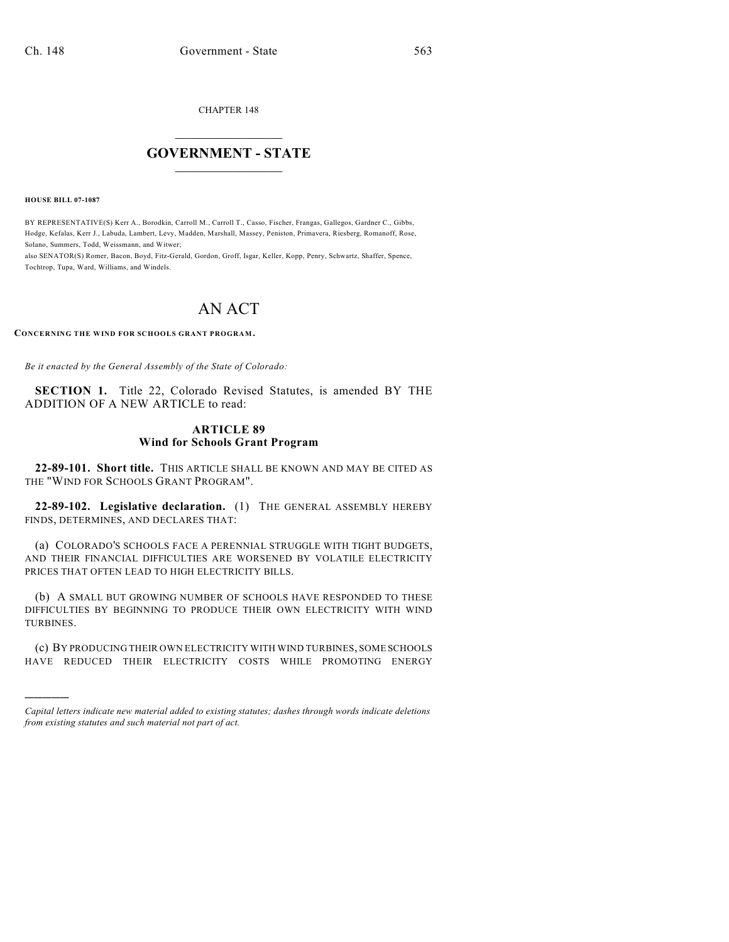CHAPTER 148

## $\overline{\phantom{a}}$  . The set of the set of the set of the set of the set of the set of the set of the set of the set of the set of the set of the set of the set of the set of the set of the set of the set of the set of the set o **GOVERNMENT - STATE**  $\_$

**HOUSE BILL 07-1087**

)))))

BY REPRESENTATIVE(S) Kerr A., Borodkin, Carroll M., Carroll T., Casso, Fischer, Frangas, Gallegos, Gardner C., Gibbs, Hodge, Kefalas, Kerr J., Labuda, Lambert, Levy, Madden, Marshall, Massey, Peniston, Primavera, Riesberg, Romanoff, Rose, Solano, Summers, Todd, Weissmann, and Witwer;

also SENATOR(S) Romer, Bacon, Boyd, Fitz-Gerald, Gordon, Groff, Isgar, Keller, Kopp, Penry, Schwartz, Shaffer, Spence, Tochtrop, Tupa, Ward, Williams, and Windels.

## AN ACT

**CONCERNING THE WIND FOR SCHOOLS GRANT PROGRAM.**

*Be it enacted by the General Assembly of the State of Colorado:*

**SECTION 1.** Title 22, Colorado Revised Statutes, is amended BY THE ADDITION OF A NEW ARTICLE to read:

## **ARTICLE 89 Wind for Schools Grant Program**

**22-89-101. Short title.** THIS ARTICLE SHALL BE KNOWN AND MAY BE CITED AS THE "WIND FOR SCHOOLS GRANT PROGRAM".

**22-89-102. Legislative declaration.** (1) THE GENERAL ASSEMBLY HEREBY FINDS, DETERMINES, AND DECLARES THAT:

(a) COLORADO'S SCHOOLS FACE A PERENNIAL STRUGGLE WITH TIGHT BUDGETS, AND THEIR FINANCIAL DIFFICULTIES ARE WORSENED BY VOLATILE ELECTRICITY PRICES THAT OFTEN LEAD TO HIGH ELECTRICITY BILLS.

(b) A SMALL BUT GROWING NUMBER OF SCHOOLS HAVE RESPONDED TO THESE DIFFICULTIES BY BEGINNING TO PRODUCE THEIR OWN ELECTRICITY WITH WIND TURBINES.

(c) BY PRODUCING THEIR OWN ELECTRICITY WITH WIND TURBINES, SOME SCHOOLS HAVE REDUCED THEIR ELECTRICITY COSTS WHILE PROMOTING ENERGY

*Capital letters indicate new material added to existing statutes; dashes through words indicate deletions from existing statutes and such material not part of act.*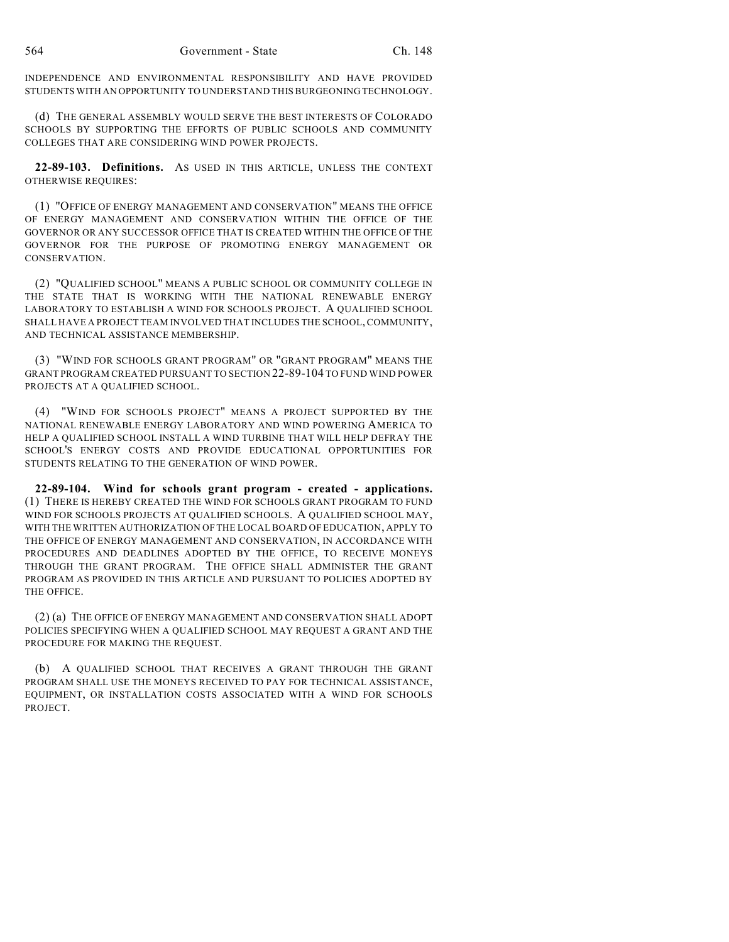INDEPENDENCE AND ENVIRONMENTAL RESPONSIBILITY AND HAVE PROVIDED STUDENTS WITH AN OPPORTUNITY TO UNDERSTAND THIS BURGEONING TECHNOLOGY.

(d) THE GENERAL ASSEMBLY WOULD SERVE THE BEST INTERESTS OF COLORADO SCHOOLS BY SUPPORTING THE EFFORTS OF PUBLIC SCHOOLS AND COMMUNITY COLLEGES THAT ARE CONSIDERING WIND POWER PROJECTS.

**22-89-103. Definitions.** AS USED IN THIS ARTICLE, UNLESS THE CONTEXT OTHERWISE REQUIRES:

(1) "OFFICE OF ENERGY MANAGEMENT AND CONSERVATION" MEANS THE OFFICE OF ENERGY MANAGEMENT AND CONSERVATION WITHIN THE OFFICE OF THE GOVERNOR OR ANY SUCCESSOR OFFICE THAT IS CREATED WITHIN THE OFFICE OF THE GOVERNOR FOR THE PURPOSE OF PROMOTING ENERGY MANAGEMENT OR CONSERVATION.

(2) "QUALIFIED SCHOOL" MEANS A PUBLIC SCHOOL OR COMMUNITY COLLEGE IN THE STATE THAT IS WORKING WITH THE NATIONAL RENEWABLE ENERGY LABORATORY TO ESTABLISH A WIND FOR SCHOOLS PROJECT. A QUALIFIED SCHOOL SHALL HAVE A PROJECT TEAM INVOLVED THAT INCLUDES THE SCHOOL, COMMUNITY, AND TECHNICAL ASSISTANCE MEMBERSHIP.

(3) "WIND FOR SCHOOLS GRANT PROGRAM" OR "GRANT PROGRAM" MEANS THE GRANT PROGRAM CREATED PURSUANT TO SECTION 22-89-104 TO FUND WIND POWER PROJECTS AT A QUALIFIED SCHOOL.

(4) "WIND FOR SCHOOLS PROJECT" MEANS A PROJECT SUPPORTED BY THE NATIONAL RENEWABLE ENERGY LABORATORY AND WIND POWERING AMERICA TO HELP A QUALIFIED SCHOOL INSTALL A WIND TURBINE THAT WILL HELP DEFRAY THE SCHOOL'S ENERGY COSTS AND PROVIDE EDUCATIONAL OPPORTUNITIES FOR STUDENTS RELATING TO THE GENERATION OF WIND POWER.

**22-89-104. Wind for schools grant program - created - applications.** (1) THERE IS HEREBY CREATED THE WIND FOR SCHOOLS GRANT PROGRAM TO FUND WIND FOR SCHOOLS PROJECTS AT QUALIFIED SCHOOLS. A QUALIFIED SCHOOL MAY, WITH THE WRITTEN AUTHORIZATION OFTHE LOCAL BOARD OF EDUCATION, APPLY TO THE OFFICE OF ENERGY MANAGEMENT AND CONSERVATION, IN ACCORDANCE WITH PROCEDURES AND DEADLINES ADOPTED BY THE OFFICE, TO RECEIVE MONEYS THROUGH THE GRANT PROGRAM. THE OFFICE SHALL ADMINISTER THE GRANT PROGRAM AS PROVIDED IN THIS ARTICLE AND PURSUANT TO POLICIES ADOPTED BY THE OFFICE.

(2) (a) THE OFFICE OF ENERGY MANAGEMENT AND CONSERVATION SHALL ADOPT POLICIES SPECIFYING WHEN A QUALIFIED SCHOOL MAY REQUEST A GRANT AND THE PROCEDURE FOR MAKING THE REQUEST.

(b) A QUALIFIED SCHOOL THAT RECEIVES A GRANT THROUGH THE GRANT PROGRAM SHALL USE THE MONEYS RECEIVED TO PAY FOR TECHNICAL ASSISTANCE, EQUIPMENT, OR INSTALLATION COSTS ASSOCIATED WITH A WIND FOR SCHOOLS PROJECT.